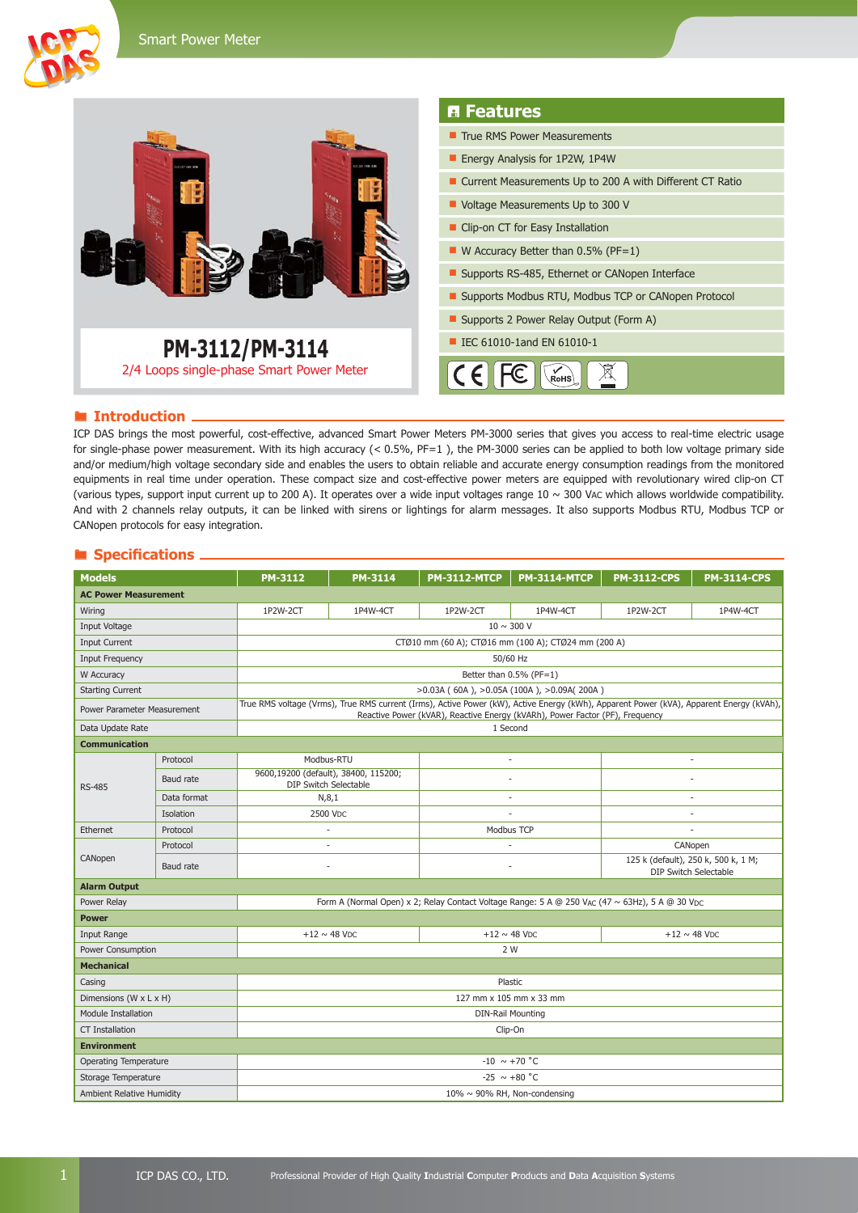



#### **Introduction**

ICP DAS brings the most powerful, cost-effective, advanced Smart Power Meters PM-3000 series that gives you access to real-time electric usage for single-phase power measurement. With its high accuracy (< 0.5%, PF=1 ), the PM-3000 series can be applied to both low voltage primary side and/or medium/high voltage secondary side and enables the users to obtain reliable and accurate energy consumption readings from the monitored equipments in real time under operation. These compact size and cost-effective power meters are equipped with revolutionary wired clip-on CT (various types, support input current up to 200 A). It operates over a wide input voltages range  $10 \sim 300$  VAC which allows worldwide compatibility. And with 2 channels relay outputs, it can be linked with sirens or lightings for alarm messages. It also supports Modbus RTU, Modbus TCP or CANopen protocols for easy integration.

#### **Specifications**

| <b>Models</b>                |             | <b>PM-3112</b>                                                                                                                                                                                                          | <b>PM-3114</b> | <b>PM-3112-MTCP</b>  | <b>PM-3114-MTCP</b> | <b>PM-3112-CPS</b>                                                  | <b>PM-3114-CPS</b> |  |  |  |
|------------------------------|-------------|-------------------------------------------------------------------------------------------------------------------------------------------------------------------------------------------------------------------------|----------------|----------------------|---------------------|---------------------------------------------------------------------|--------------------|--|--|--|
| <b>AC Power Measurement</b>  |             |                                                                                                                                                                                                                         |                |                      |                     |                                                                     |                    |  |  |  |
| Wiring                       |             | 1P2W-2CT                                                                                                                                                                                                                | 1P4W-4CT       | 1P2W-2CT<br>1P4W-4CT |                     | 1P2W-2CT                                                            | 1P4W-4CT           |  |  |  |
| <b>Input Voltage</b>         |             | $10 \sim 300$ V                                                                                                                                                                                                         |                |                      |                     |                                                                     |                    |  |  |  |
| <b>Input Current</b>         |             | CTØ10 mm (60 A); CTØ16 mm (100 A); CTØ24 mm (200 A)                                                                                                                                                                     |                |                      |                     |                                                                     |                    |  |  |  |
| <b>Input Frequency</b>       |             | 50/60 Hz                                                                                                                                                                                                                |                |                      |                     |                                                                     |                    |  |  |  |
| W Accuracy                   |             | Better than 0.5% (PF=1)                                                                                                                                                                                                 |                |                      |                     |                                                                     |                    |  |  |  |
| <b>Starting Current</b>      |             | $>0.03A$ (60A), $>0.05A$ (100A), $>0.09A$ (200A)                                                                                                                                                                        |                |                      |                     |                                                                     |                    |  |  |  |
| Power Parameter Measurement  |             | True RMS voltage (Vrms), True RMS current (Irms), Active Power (kW), Active Energy (kWh), Apparent Power (kVA), Apparent Energy (kVAh),<br>Reactive Power (kVAR), Reactive Energy (kVARh), Power Factor (PF), Frequency |                |                      |                     |                                                                     |                    |  |  |  |
| Data Update Rate             |             | 1 Second                                                                                                                                                                                                                |                |                      |                     |                                                                     |                    |  |  |  |
| <b>Communication</b>         |             |                                                                                                                                                                                                                         |                |                      |                     |                                                                     |                    |  |  |  |
| <b>RS-485</b>                | Protocol    | Modbus-RTU                                                                                                                                                                                                              |                |                      | ä,                  |                                                                     |                    |  |  |  |
|                              | Baud rate   | 9600,19200 (default), 38400, 115200;<br>DIP Switch Selectable                                                                                                                                                           |                |                      | ä,                  |                                                                     |                    |  |  |  |
|                              | Data format | N, 8, 1                                                                                                                                                                                                                 |                | ÷.                   |                     | ×.                                                                  |                    |  |  |  |
|                              | Isolation   | 2500 VDC                                                                                                                                                                                                                |                |                      |                     |                                                                     |                    |  |  |  |
| <b>Ethernet</b>              | Protocol    |                                                                                                                                                                                                                         |                | Modbus TCP           |                     |                                                                     |                    |  |  |  |
|                              | Protocol    | ÷,                                                                                                                                                                                                                      |                |                      |                     | CANopen                                                             |                    |  |  |  |
| CANopen                      | Baud rate   | ÷,                                                                                                                                                                                                                      |                |                      |                     | 125 k (default), 250 k, 500 k, 1 M;<br><b>DIP Switch Selectable</b> |                    |  |  |  |
| <b>Alarm Output</b>          |             |                                                                                                                                                                                                                         |                |                      |                     |                                                                     |                    |  |  |  |
| Power Relay                  |             | Form A (Normal Open) x 2; Relay Contact Voltage Range: 5 A @ 250 VAC (47 ~ 63Hz), 5 A @ 30 VDC                                                                                                                          |                |                      |                     |                                                                     |                    |  |  |  |
| <b>Power</b>                 |             |                                                                                                                                                                                                                         |                |                      |                     |                                                                     |                    |  |  |  |
| Input Range                  |             | $+12 \sim 48$ VDC                                                                                                                                                                                                       |                |                      | $+12 \sim 48$ VDC   | $+12 \sim 48$ VDC                                                   |                    |  |  |  |
| Power Consumption            |             | 2 W                                                                                                                                                                                                                     |                |                      |                     |                                                                     |                    |  |  |  |
| <b>Mechanical</b>            |             |                                                                                                                                                                                                                         |                |                      |                     |                                                                     |                    |  |  |  |
| Casing                       |             | Plastic                                                                                                                                                                                                                 |                |                      |                     |                                                                     |                    |  |  |  |
| Dimensions (W x L x H)       |             | 127 mm x 105 mm x 33 mm                                                                                                                                                                                                 |                |                      |                     |                                                                     |                    |  |  |  |
| <b>Module Installation</b>   |             | <b>DIN-Rail Mounting</b>                                                                                                                                                                                                |                |                      |                     |                                                                     |                    |  |  |  |
| <b>CT Installation</b>       |             | Clip-On                                                                                                                                                                                                                 |                |                      |                     |                                                                     |                    |  |  |  |
| <b>Environment</b>           |             |                                                                                                                                                                                                                         |                |                      |                     |                                                                     |                    |  |  |  |
| <b>Operating Temperature</b> |             | $-10 \sim +70$ °C                                                                                                                                                                                                       |                |                      |                     |                                                                     |                    |  |  |  |
| Storage Temperature          |             | $-25 \sim +80$ °C                                                                                                                                                                                                       |                |                      |                     |                                                                     |                    |  |  |  |
| Ambient Relative Humidity    |             | $10\% \sim 90\%$ RH, Non-condensing                                                                                                                                                                                     |                |                      |                     |                                                                     |                    |  |  |  |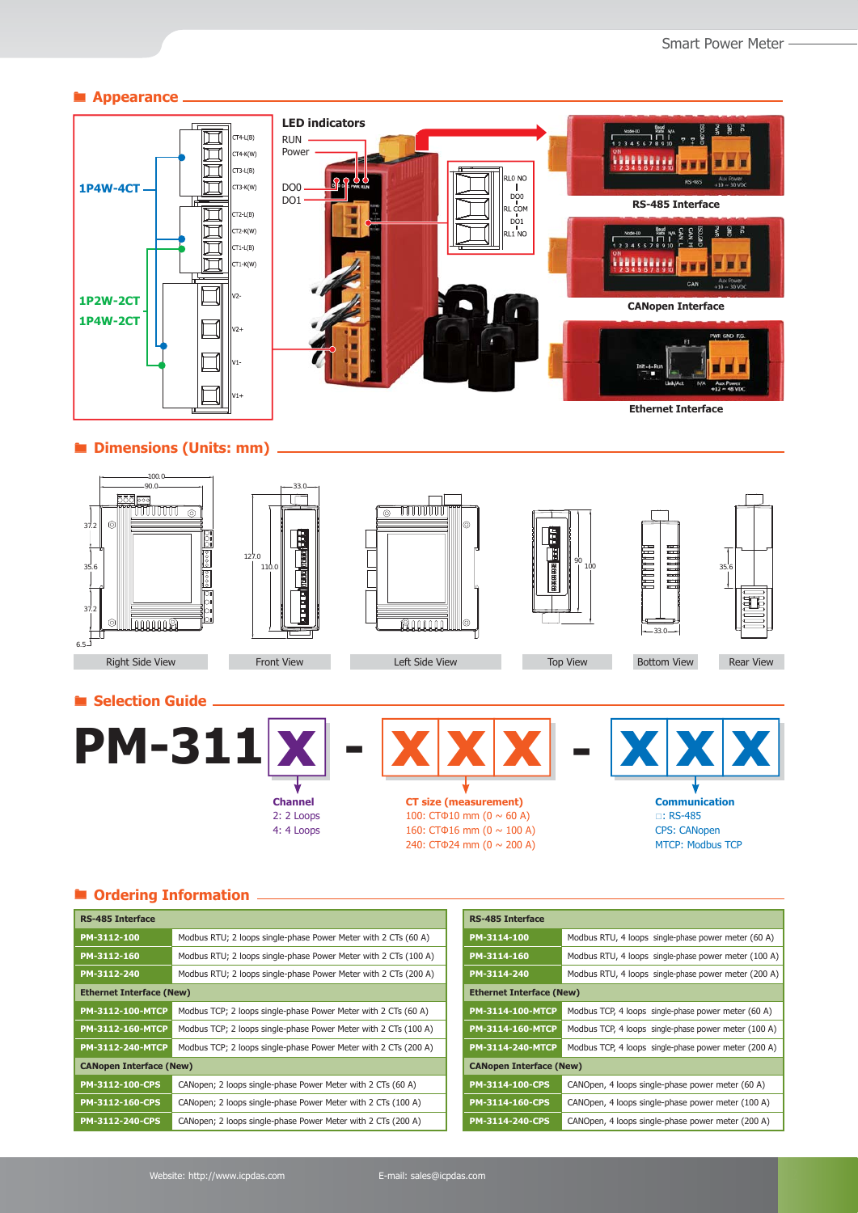#### $\blacksquare$  Appearance



#### **Dimensions (Units: mm)**









**Communication** : RS-485 CPS: CANopen MTCP: Modbus TCP

## **Ordering Information**

| <b>RS-485 Interface</b>         |                                                                 |  | <b>RS-485 Interface</b>                                             |                                                      |  |
|---------------------------------|-----------------------------------------------------------------|--|---------------------------------------------------------------------|------------------------------------------------------|--|
| PM-3112-100                     | Modbus RTU; 2 loops single-phase Power Meter with 2 CTs (60 A)  |  | PM-3114-100                                                         | Modbus RTU, 4 loops single-phase power meter (60 A)  |  |
| PM-3112-160                     | Modbus RTU; 2 loops single-phase Power Meter with 2 CTs (100 A) |  | PM-3114-160                                                         | Modbus RTU, 4 loops single-phase power meter (100 A) |  |
| PM-3112-240                     | Modbus RTU; 2 loops single-phase Power Meter with 2 CTs (200 A) |  | Modbus RTU, 4 loops single-phase power meter (200 A)<br>PM-3114-240 |                                                      |  |
| <b>Ethernet Interface (New)</b> |                                                                 |  | <b>Ethernet Interface (New)</b>                                     |                                                      |  |
| PM-3112-100-MTCP                | Modbus TCP; 2 loops single-phase Power Meter with 2 CTs (60 A)  |  | PM-3114-100-MTCP                                                    | Modbus TCP, 4 loops single-phase power meter (60 A)  |  |
| PM-3112-160-MTCP                | Modbus TCP; 2 loops single-phase Power Meter with 2 CTs (100 A) |  | PM-3114-160-MTCP                                                    | Modbus TCP, 4 loops single-phase power meter (100 A) |  |
| PM-3112-240-MTCP                | Modbus TCP; 2 loops single-phase Power Meter with 2 CTs (200 A) |  | <b>PM-3114-240-MTCP</b>                                             | Modbus TCP, 4 loops single-phase power meter (200 A) |  |
| <b>CANopen Interface (New)</b>  |                                                                 |  | <b>CANopen Interface (New)</b>                                      |                                                      |  |
| PM-3112-100-CPS                 | CANopen; 2 loops single-phase Power Meter with 2 CTs (60 A)     |  | PM-3114-100-CPS<br>CANOpen, 4 loops single-phase power meter (60 A) |                                                      |  |
| PM-3112-160-CPS                 | CANopen; 2 loops single-phase Power Meter with 2 CTs (100 A)    |  | PM-3114-160-CPS                                                     | CANOpen, 4 loops single-phase power meter (100 A)    |  |
| PM-3112-240-CPS                 | CANopen; 2 loops single-phase Power Meter with 2 CTs (200 A)    |  | PM-3114-240-CPS                                                     | CANOpen, 4 loops single-phase power meter (200 A)    |  |